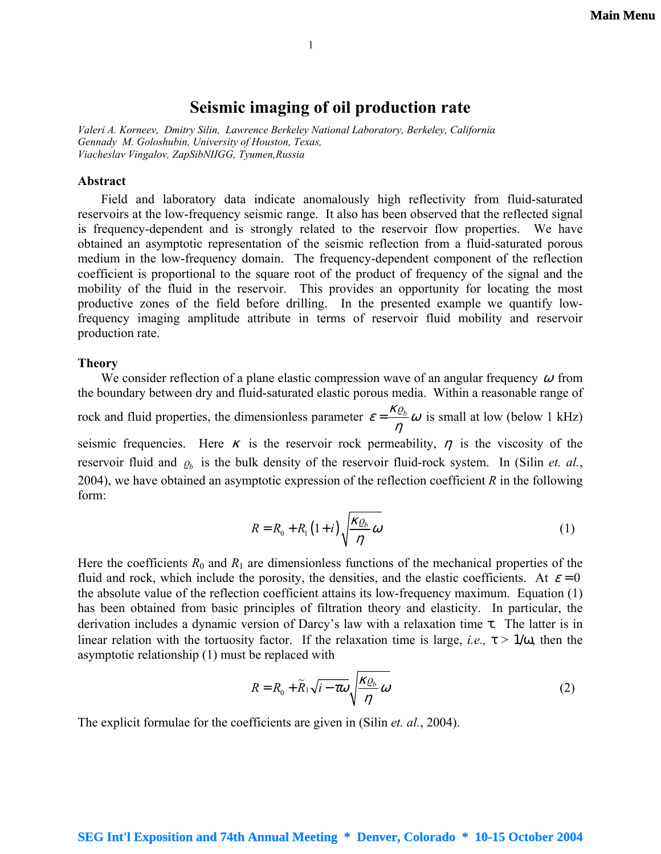# **Seismic imaging of oil production rate**

<span id="page-0-1"></span>*Valeri A. Korneev, Dmitry Silin, Lawrence Berkeley National Laboratory, Berkeley, California Gennady M. Goloshubin, University of Houston, Texas, Viacheslav Vingalov, ZapSibNIIGG, Tyumen,Russia* 

#### **Abstract**

Field and laboratory data indicate anomalously high reflectivity from fluid-saturated reservoirs at the low-frequency seismic range. It also has been observed that the reflected signal is frequency-dependent and is strongly related to the reservoir flow properties. We have obtained an asymptotic representation of the seismic reflection from a fluid-saturated porous medium in the low-frequency domain. The frequency-dependent component of the reflection coefficient is proportional to the square root of the product of frequency of the signal and the mobility of the fluid in the reservoir. This provides an opportunity for locating the most productive zones of the field before drilling. In the presented example we quantify lowfrequency imaging amplitude attribute in terms of reservoir fluid mobility and reservoir production rate.

## **Theory**

We consider reflection of a plane elastic compression wave of an angular frequency  $\omega$  from the boundary between dry and fluid-saturated elastic porous media. Within a reasonable range of rock and fluid properties, the dimensionless parameter  $\varepsilon = \frac{\kappa \varrho_b}{\eta} \omega$  is small at low (below 1 kHz) seismic frequencies. Here  $\kappa$  is the reservoir rock permeability,  $\eta$  is the viscosity of the reservoir fluid and  $\rho_b$  is the bulk density of the reservoir fluid-rock system. In (Silin *et. al.*, 2004), we have obtained an asymptotic expression of the reflection coefficient *R* in the following form:

<span id="page-0-0"></span>
$$
R = R_0 + R_1 (1 + i) \sqrt{\frac{\kappa \varrho_b}{\eta} \omega} \tag{1}
$$

Here the coefficients  $R_0$  and  $R_1$  are dimensionless functions of the mechanical properties of the fluid and rock, which include the porosity, the densities, and the elastic coefficients. At  $\varepsilon = 0$ the absolute value of the reflection coefficient attains its low-frequency maximum. Equation [\(1\)](#page-0-0)  has been obtained from basic principles of filtration theory and elasticity. In particular, the derivation includes a dynamic version of Darcy's law with a relaxation time  $\tau$ . The latter is in linear relation with the tortuosity factor. If the relaxation time is large, *i.e.*,  $\tau > 1/\omega$ , then the asymptotic relationship [\(1\)](#page-0-0) must be replaced with

$$
R = R_0 + \widetilde{R}_1 \sqrt{i - \tau \omega} \sqrt{\frac{\kappa \varrho_b}{\eta} \omega} \tag{2}
$$

The explicit formulae for the coefficients are given in (Silin *et. al.*, 2004).

## **SEG Int'l Exposition and 74th Annual Meeting \* Denver, Colorado \* 10-15 October 2004**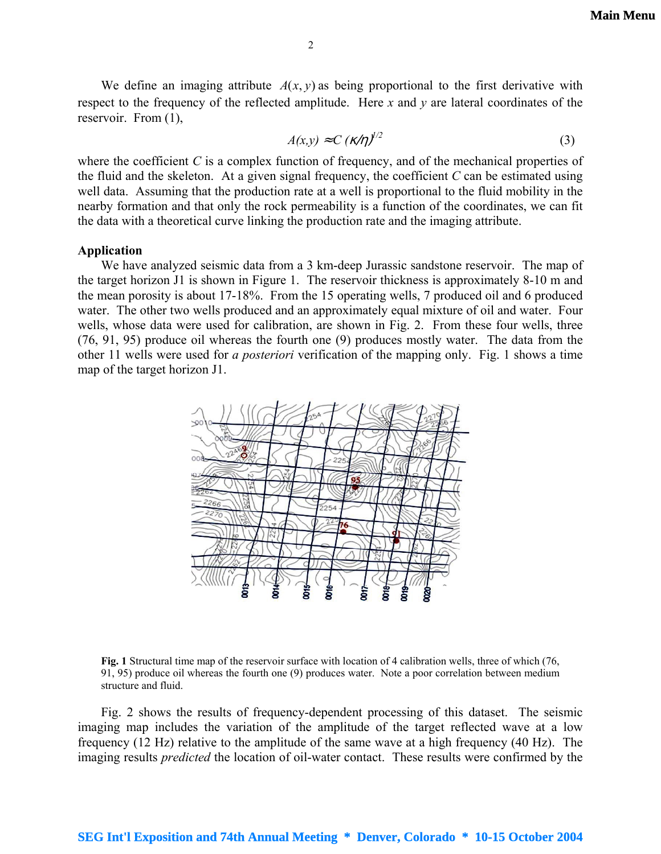We define an imaging attribute  $A(x, y)$  as being proportional to the first derivative with respect to the frequency of the reflected amplitude. Here *x* and *y* are lateral coordinates of the reservoir. From [\(1\),](#page-0-0)

<span id="page-1-0"></span>
$$
A(x, y) \approx C \left(\kappa/\eta\right)^{1/2} \tag{3}
$$

where the coefficient *C* is a complex function of frequency, and of the mechanical properties of the fluid and the skeleton. At a given signal frequency, the coefficient *C* can be estimated using well data. Assuming that the production rate at a well is proportional to the fluid mobility in the nearby formation and that only the rock permeability is a function of the coordinates, we can fit the data with a theoretical curve linking the production rate and the imaging attribute.

#### **Application**

We have analyzed seismic data from a 3 km-deep Jurassic sandstone reservoir. The map of the target horizon J1 is shown in Figure 1. The reservoir thickness is approximately 8-10 m and the mean porosity is about 17-18%. From the 15 operating wells, 7 produced oil and 6 produced water. The other two wells produced and an approximately equal mixture of oil and water. Four wells, whose data were used for calibration, are shown in Fig. 2. From these four wells, three (76, 91, 95) produce oil whereas the fourth one (9) produces mostly water. The data from the other 11 wells were used for *a posteriori* verification of the mapping only. Fig. 1 shows a time map of the target horizon J1.



**Fig. 1** Structural time map of the reservoir surface with location of 4 calibration wells, three of which (76, 91, 95) produce oil whereas the fourth one (9) produces water. Note a poor correlation between medium structure and fluid.

Fig. 2 shows the results of frequency-dependent processing of this dataset. The seismic imaging map includes the variation of the amplitude of the target reflected wave at a low frequency (12 Hz) relative to the amplitude of the same wave at a high frequency (40 Hz). The imaging results *predicted* the location of oil-water contact. These results were confirmed by the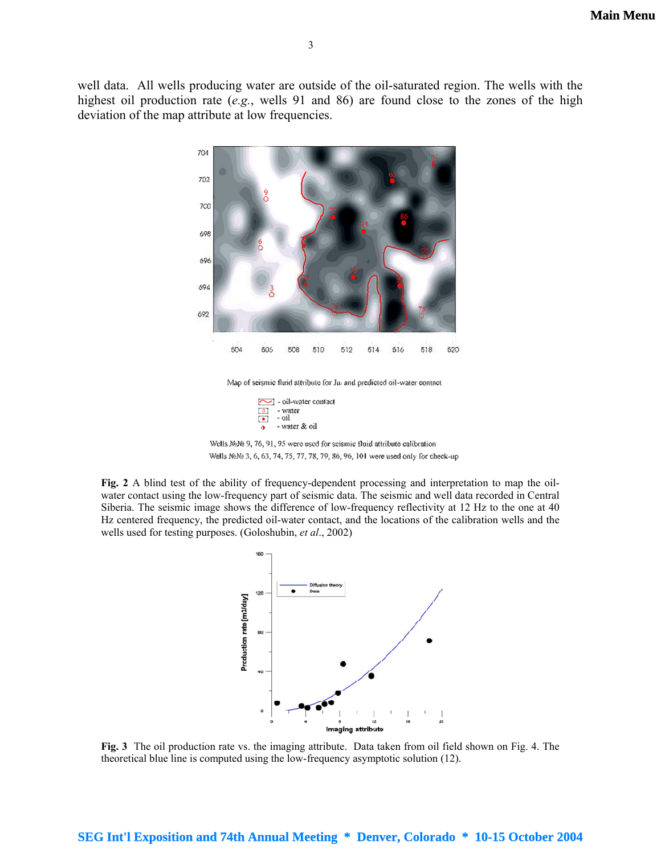**[Main Menu](#page-0-1)**

well data. All wells producing water are outside of the oil-saturated region. The wells with the highest oil production rate (*e.g.*, wells 91 and 86) are found close to the zones of the high deviation of the map attribute at low frequencies.



Map of seismic fluid attribute for Jul and predicted oil-water contact

oil-water contact  $\bullet$ - water  $\overrightarrow{01}$  $\overline{\phantom{a}}$ - water & oil ۰



**Fig. 2** A blind test of the ability of frequency-dependent processing and interpretation to map the oilwater contact using the low-frequency part of seismic data. The seismic and well data recorded in Central Siberia. The seismic image shows the difference of low-frequency reflectivity at 12 Hz to the one at 40 Hz centered frequency, the predicted oil-water contact, and the locations of the calibration wells and the wells used for testing purposes. (Goloshubin, *et al*., 2002)



**Fig. 3** The oil production rate vs. the imaging attribute. Data taken from oil field shown on Fig. 4. The theoretical blue line is computed using the low-frequency asymptotic solution (12).

### **SEG Int'l Exposition and 74th Annual Meeting \* Denver, Colorado \* 10-15 October 2004**